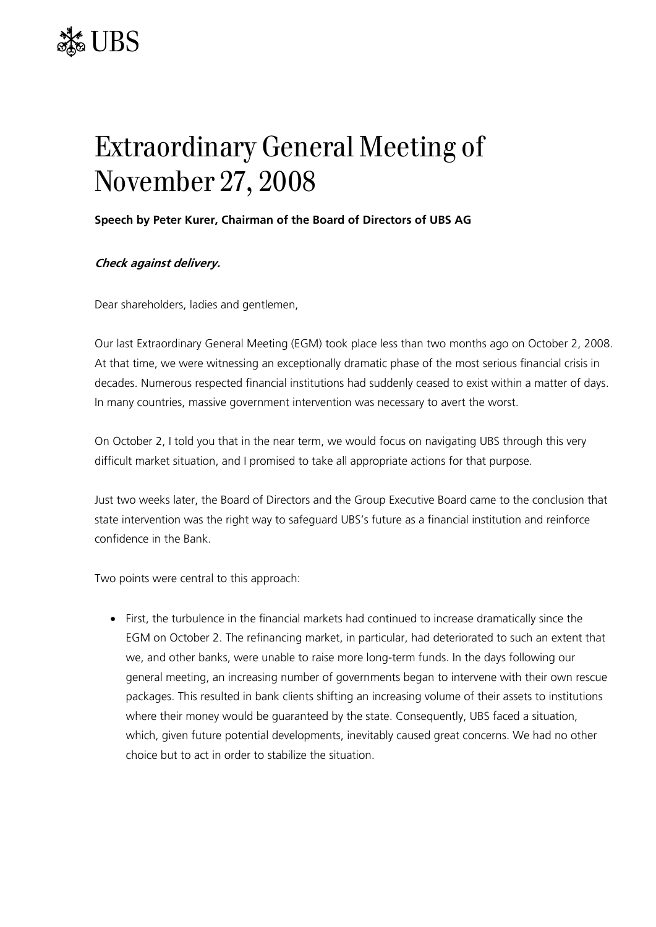

## Extraordinary General Meeting of November 27, 2008

## **Speech by Peter Kurer, Chairman of the Board of Directors of UBS AG**

## **Check against delivery.**

Dear shareholders, ladies and gentlemen,

Our last Extraordinary General Meeting (EGM) took place less than two months ago on October 2, 2008. At that time, we were witnessing an exceptionally dramatic phase of the most serious financial crisis in decades. Numerous respected financial institutions had suddenly ceased to exist within a matter of days. In many countries, massive government intervention was necessary to avert the worst.

On October 2, I told you that in the near term, we would focus on navigating UBS through this very difficult market situation, and I promised to take all appropriate actions for that purpose.

Just two weeks later, the Board of Directors and the Group Executive Board came to the conclusion that state intervention was the right way to safeguard UBS's future as a financial institution and reinforce confidence in the Bank.

Two points were central to this approach:

• First, the turbulence in the financial markets had continued to increase dramatically since the EGM on October 2. The refinancing market, in particular, had deteriorated to such an extent that we, and other banks, were unable to raise more long-term funds. In the days following our general meeting, an increasing number of governments began to intervene with their own rescue packages. This resulted in bank clients shifting an increasing volume of their assets to institutions where their money would be guaranteed by the state. Consequently, UBS faced a situation, which, given future potential developments, inevitably caused great concerns. We had no other choice but to act in order to stabilize the situation.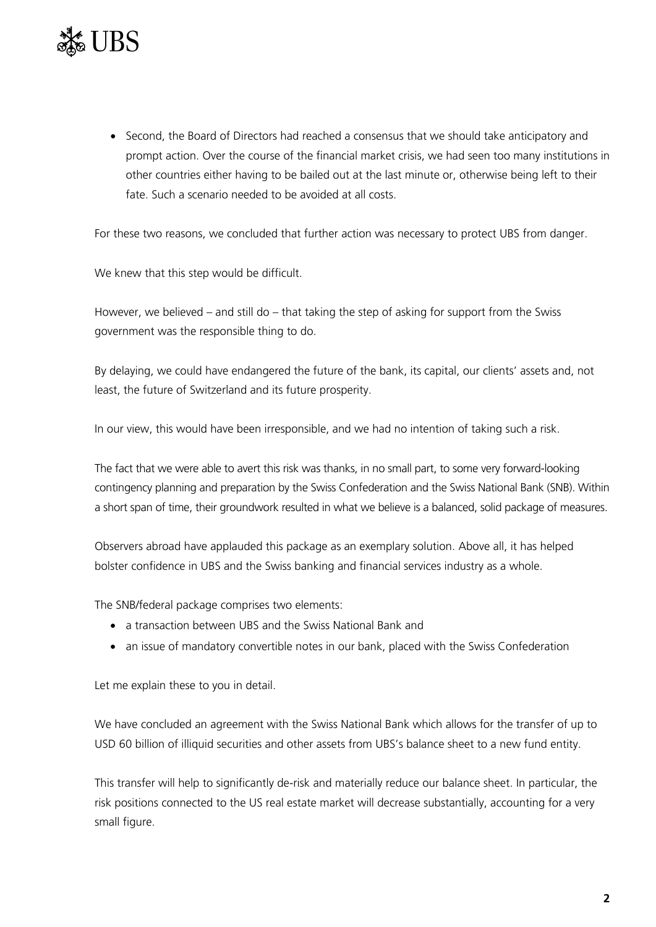

• Second, the Board of Directors had reached a consensus that we should take anticipatory and prompt action. Over the course of the financial market crisis, we had seen too many institutions in other countries either having to be bailed out at the last minute or, otherwise being left to their fate. Such a scenario needed to be avoided at all costs.

For these two reasons, we concluded that further action was necessary to protect UBS from danger.

We knew that this step would be difficult.

However, we believed – and still do – that taking the step of asking for support from the Swiss government was the responsible thing to do.

By delaying, we could have endangered the future of the bank, its capital, our clients' assets and, not least, the future of Switzerland and its future prosperity.

In our view, this would have been irresponsible, and we had no intention of taking such a risk.

The fact that we were able to avert this risk was thanks, in no small part, to some very forward-looking contingency planning and preparation by the Swiss Confederation and the Swiss National Bank (SNB). Within a short span of time, their groundwork resulted in what we believe is a balanced, solid package of measures.

Observers abroad have applauded this package as an exemplary solution. Above all, it has helped bolster confidence in UBS and the Swiss banking and financial services industry as a whole.

The SNB/federal package comprises two elements:

- a transaction between UBS and the Swiss National Bank and
- an issue of mandatory convertible notes in our bank, placed with the Swiss Confederation

Let me explain these to you in detail.

We have concluded an agreement with the Swiss National Bank which allows for the transfer of up to USD 60 billion of illiquid securities and other assets from UBS's balance sheet to a new fund entity.

This transfer will help to significantly de-risk and materially reduce our balance sheet. In particular, the risk positions connected to the US real estate market will decrease substantially, accounting for a very small figure.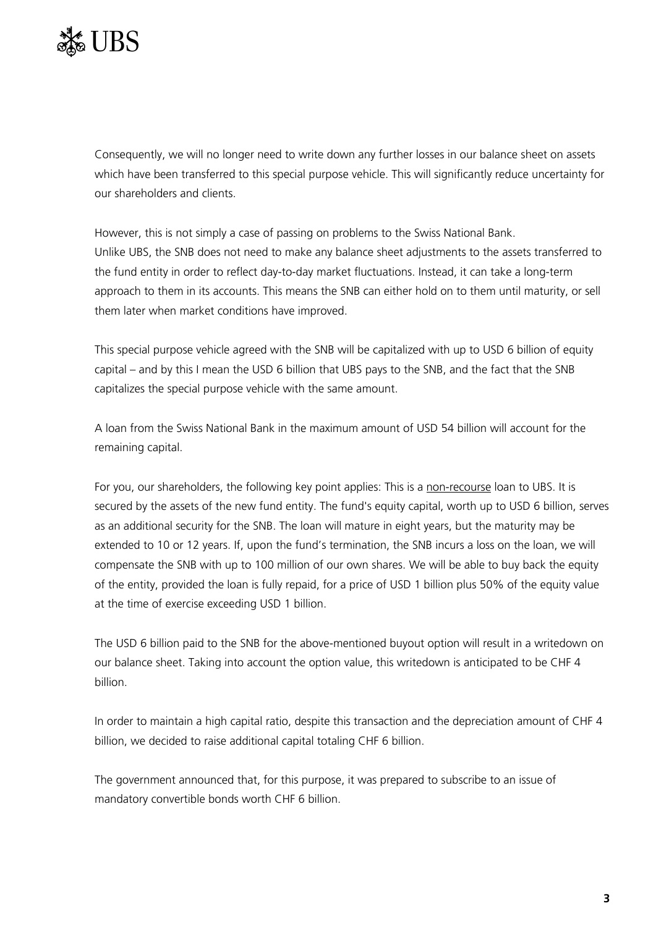

Consequently, we will no longer need to write down any further losses in our balance sheet on assets which have been transferred to this special purpose vehicle. This will significantly reduce uncertainty for our shareholders and clients.

However, this is not simply a case of passing on problems to the Swiss National Bank. Unlike UBS, the SNB does not need to make any balance sheet adjustments to the assets transferred to the fund entity in order to reflect day-to-day market fluctuations. Instead, it can take a long-term approach to them in its accounts. This means the SNB can either hold on to them until maturity, or sell them later when market conditions have improved.

This special purpose vehicle agreed with the SNB will be capitalized with up to USD 6 billion of equity capital – and by this I mean the USD 6 billion that UBS pays to the SNB, and the fact that the SNB capitalizes the special purpose vehicle with the same amount.

A loan from the Swiss National Bank in the maximum amount of USD 54 billion will account for the remaining capital.

For you, our shareholders, the following key point applies: This is a non-recourse loan to UBS. It is secured by the assets of the new fund entity. The fund's equity capital, worth up to USD 6 billion, serves as an additional security for the SNB. The loan will mature in eight years, but the maturity may be extended to 10 or 12 years. If, upon the fund's termination, the SNB incurs a loss on the loan, we will compensate the SNB with up to 100 million of our own shares. We will be able to buy back the equity of the entity, provided the loan is fully repaid, for a price of USD 1 billion plus 50% of the equity value at the time of exercise exceeding USD 1 billion.

The USD 6 billion paid to the SNB for the above-mentioned buyout option will result in a writedown on our balance sheet. Taking into account the option value, this writedown is anticipated to be CHF 4 billion.

In order to maintain a high capital ratio, despite this transaction and the depreciation amount of CHF 4 billion, we decided to raise additional capital totaling CHF 6 billion.

The government announced that, for this purpose, it was prepared to subscribe to an issue of mandatory convertible bonds worth CHF 6 billion.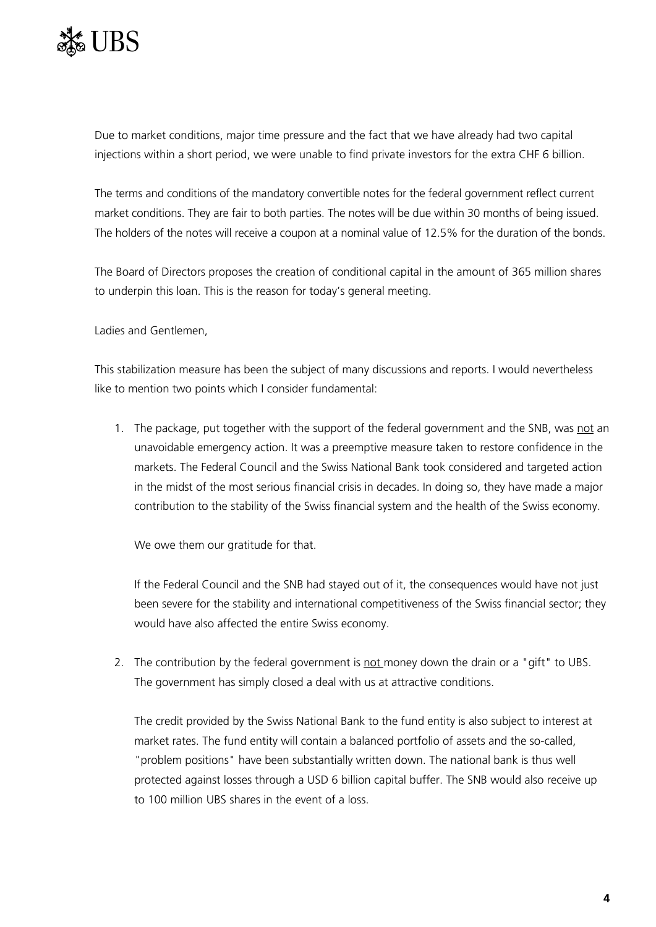

Due to market conditions, major time pressure and the fact that we have already had two capital injections within a short period, we were unable to find private investors for the extra CHF 6 billion.

The terms and conditions of the mandatory convertible notes for the federal government reflect current market conditions. They are fair to both parties. The notes will be due within 30 months of being issued. The holders of the notes will receive a coupon at a nominal value of 12.5% for the duration of the bonds.

The Board of Directors proposes the creation of conditional capital in the amount of 365 million shares to underpin this loan. This is the reason for today's general meeting.

Ladies and Gentlemen,

This stabilization measure has been the subject of many discussions and reports. I would nevertheless like to mention two points which I consider fundamental:

1. The package, put together with the support of the federal government and the SNB, was not an unavoidable emergency action. It was a preemptive measure taken to restore confidence in the markets. The Federal Council and the Swiss National Bank took considered and targeted action in the midst of the most serious financial crisis in decades. In doing so, they have made a major contribution to the stability of the Swiss financial system and the health of the Swiss economy.

We owe them our gratitude for that.

If the Federal Council and the SNB had stayed out of it, the consequences would have not just been severe for the stability and international competitiveness of the Swiss financial sector; they would have also affected the entire Swiss economy.

2. The contribution by the federal government is not money down the drain or a "gift" to UBS. The government has simply closed a deal with us at attractive conditions.

The credit provided by the Swiss National Bank to the fund entity is also subject to interest at market rates. The fund entity will contain a balanced portfolio of assets and the so-called, "problem positions" have been substantially written down. The national bank is thus well protected against losses through a USD 6 billion capital buffer. The SNB would also receive up to 100 million UBS shares in the event of a loss.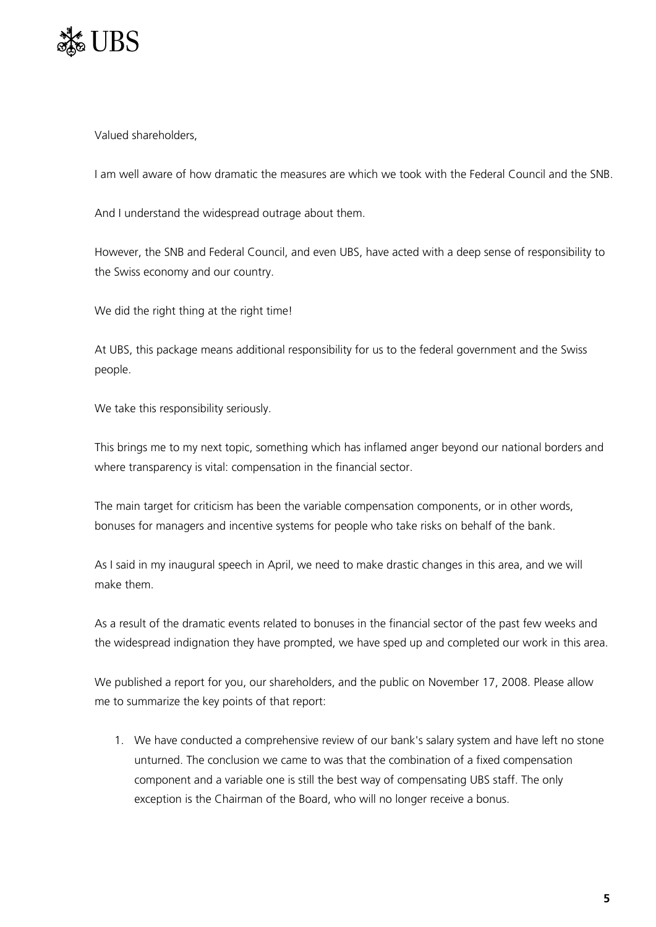

Valued shareholders,

I am well aware of how dramatic the measures are which we took with the Federal Council and the SNB.

And I understand the widespread outrage about them.

However, the SNB and Federal Council, and even UBS, have acted with a deep sense of responsibility to the Swiss economy and our country.

We did the right thing at the right time!

At UBS, this package means additional responsibility for us to the federal government and the Swiss people.

We take this responsibility seriously.

This brings me to my next topic, something which has inflamed anger beyond our national borders and where transparency is vital: compensation in the financial sector.

The main target for criticism has been the variable compensation components, or in other words, bonuses for managers and incentive systems for people who take risks on behalf of the bank.

As I said in my inaugural speech in April, we need to make drastic changes in this area, and we will make them.

As a result of the dramatic events related to bonuses in the financial sector of the past few weeks and the widespread indignation they have prompted, we have sped up and completed our work in this area.

We published a report for you, our shareholders, and the public on November 17, 2008. Please allow me to summarize the key points of that report:

1. We have conducted a comprehensive review of our bank's salary system and have left no stone unturned. The conclusion we came to was that the combination of a fixed compensation component and a variable one is still the best way of compensating UBS staff. The only exception is the Chairman of the Board, who will no longer receive a bonus.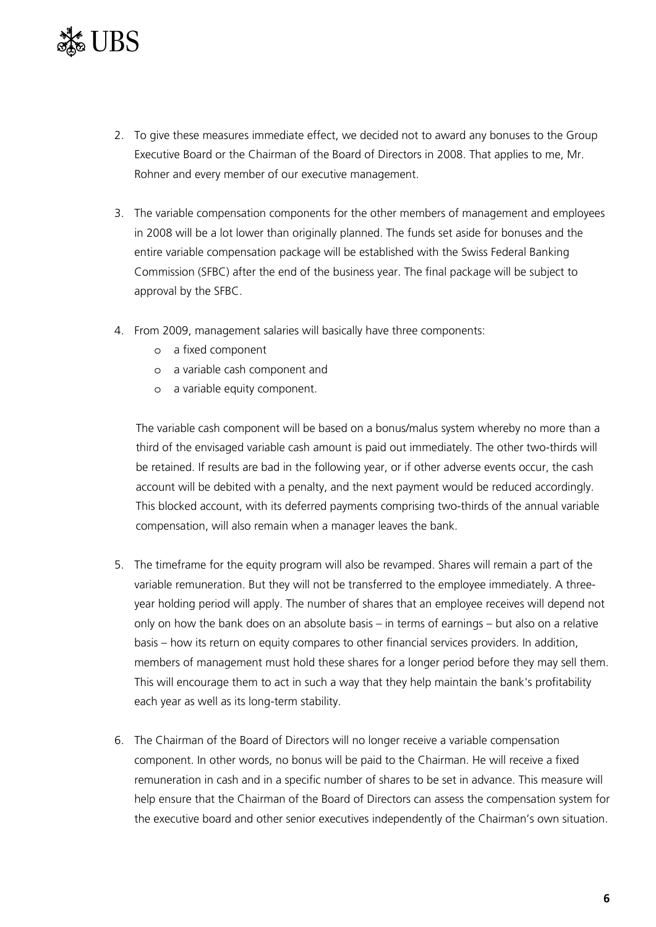

- 2. To give these measures immediate effect, we decided not to award any bonuses to the Group Executive Board or the Chairman of the Board of Directors in 2008. That applies to me, Mr. Rohner and every member of our executive management.
- 3. The variable compensation components for the other members of management and employees in 2008 will be a lot lower than originally planned. The funds set aside for bonuses and the entire variable compensation package will be established with the Swiss Federal Banking Commission (SFBC) after the end of the business year. The final package will be subject to approval by the SFBC.
- 4. From 2009, management salaries will basically have three components:
	- o a fixed component
	- o a variable cash component and
	- o a variable equity component.

The variable cash component will be based on a bonus/malus system whereby no more than a third of the envisaged variable cash amount is paid out immediately. The other two-thirds will be retained. If results are bad in the following year, or if other adverse events occur, the cash account will be debited with a penalty, and the next payment would be reduced accordingly. This blocked account, with its deferred payments comprising two-thirds of the annual variable compensation, will also remain when a manager leaves the bank.

- 5. The timeframe for the equity program will also be revamped. Shares will remain a part of the variable remuneration. But they will not be transferred to the employee immediately. A threeyear holding period will apply. The number of shares that an employee receives will depend not only on how the bank does on an absolute basis – in terms of earnings – but also on a relative basis – how its return on equity compares to other financial services providers. In addition, members of management must hold these shares for a longer period before they may sell them. This will encourage them to act in such a way that they help maintain the bank's profitability each year as well as its long-term stability.
- 6. The Chairman of the Board of Directors will no longer receive a variable compensation component. In other words, no bonus will be paid to the Chairman. He will receive a fixed remuneration in cash and in a specific number of shares to be set in advance. This measure will help ensure that the Chairman of the Board of Directors can assess the compensation system for the executive board and other senior executives independently of the Chairman's own situation.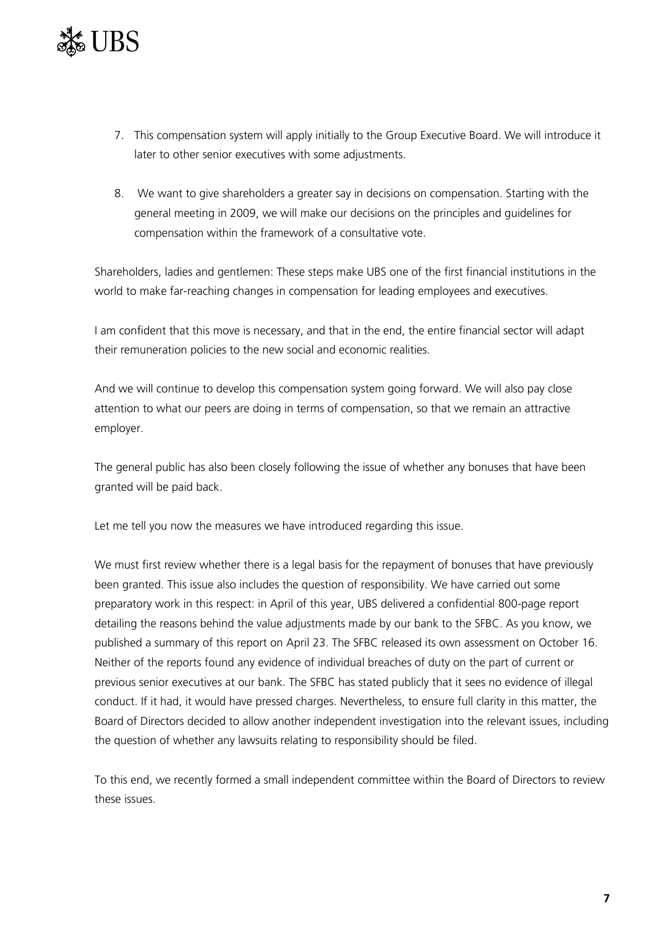

- 7. This compensation system will apply initially to the Group Executive Board. We will introduce it later to other senior executives with some adjustments.
- 8. We want to give shareholders a greater say in decisions on compensation. Starting with the general meeting in 2009, we will make our decisions on the principles and guidelines for compensation within the framework of a consultative vote.

Shareholders, ladies and gentlemen: These steps make UBS one of the first financial institutions in the world to make far-reaching changes in compensation for leading employees and executives.

I am confident that this move is necessary, and that in the end, the entire financial sector will adapt their remuneration policies to the new social and economic realities.

And we will continue to develop this compensation system going forward. We will also pay close attention to what our peers are doing in terms of compensation, so that we remain an attractive employer.

The general public has also been closely following the issue of whether any bonuses that have been granted will be paid back.

Let me tell you now the measures we have introduced regarding this issue.

We must first review whether there is a legal basis for the repayment of bonuses that have previously been granted. This issue also includes the question of responsibility. We have carried out some preparatory work in this respect: in April of this year, UBS delivered a confidential 800-page report detailing the reasons behind the value adjustments made by our bank to the SFBC. As you know, we published a summary of this report on April 23. The SFBC released its own assessment on October 16. Neither of the reports found any evidence of individual breaches of duty on the part of current or previous senior executives at our bank. The SFBC has stated publicly that it sees no evidence of illegal conduct. If it had, it would have pressed charges. Nevertheless, to ensure full clarity in this matter, the Board of Directors decided to allow another independent investigation into the relevant issues, including the question of whether any lawsuits relating to responsibility should be filed.

To this end, we recently formed a small independent committee within the Board of Directors to review these issues.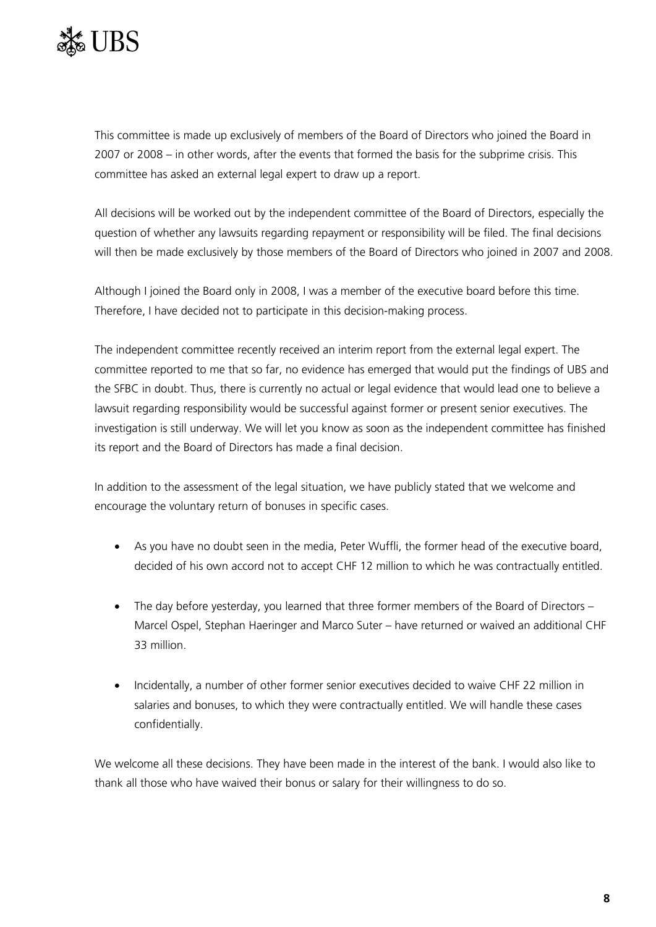

This committee is made up exclusively of members of the Board of Directors who joined the Board in 2007 or 2008 – in other words, after the events that formed the basis for the subprime crisis. This committee has asked an external legal expert to draw up a report.

All decisions will be worked out by the independent committee of the Board of Directors, especially the question of whether any lawsuits regarding repayment or responsibility will be filed. The final decisions will then be made exclusively by those members of the Board of Directors who joined in 2007 and 2008.

Although I joined the Board only in 2008, I was a member of the executive board before this time. Therefore, I have decided not to participate in this decision-making process.

The independent committee recently received an interim report from the external legal expert. The committee reported to me that so far, no evidence has emerged that would put the findings of UBS and the SFBC in doubt. Thus, there is currently no actual or legal evidence that would lead one to believe a lawsuit regarding responsibility would be successful against former or present senior executives. The investigation is still underway. We will let you know as soon as the independent committee has finished its report and the Board of Directors has made a final decision.

In addition to the assessment of the legal situation, we have publicly stated that we welcome and encourage the voluntary return of bonuses in specific cases.

- As you have no doubt seen in the media, Peter Wuffli, the former head of the executive board, decided of his own accord not to accept CHF 12 million to which he was contractually entitled.
- The day before yesterday, you learned that three former members of the Board of Directors Marcel Ospel, Stephan Haeringer and Marco Suter – have returned or waived an additional CHF 33 million.
- Incidentally, a number of other former senior executives decided to waive CHF 22 million in salaries and bonuses, to which they were contractually entitled. We will handle these cases confidentially.

We welcome all these decisions. They have been made in the interest of the bank. I would also like to thank all those who have waived their bonus or salary for their willingness to do so.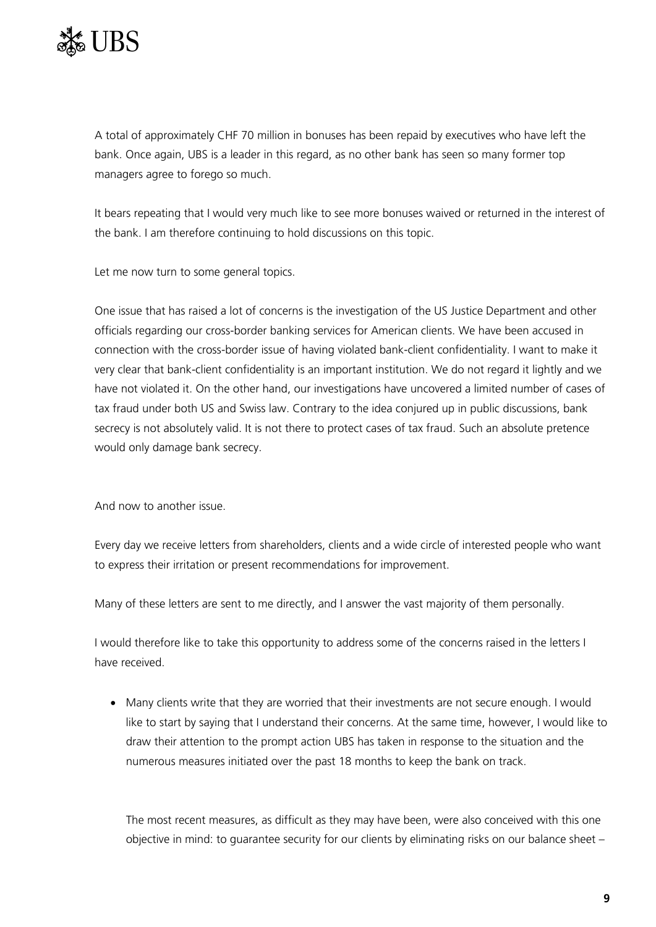

A total of approximately CHF 70 million in bonuses has been repaid by executives who have left the bank. Once again, UBS is a leader in this regard, as no other bank has seen so many former top managers agree to forego so much.

It bears repeating that I would very much like to see more bonuses waived or returned in the interest of the bank. I am therefore continuing to hold discussions on this topic.

Let me now turn to some general topics.

One issue that has raised a lot of concerns is the investigation of the US Justice Department and other officials regarding our cross-border banking services for American clients. We have been accused in connection with the cross-border issue of having violated bank-client confidentiality. I want to make it very clear that bank-client confidentiality is an important institution. We do not regard it lightly and we have not violated it. On the other hand, our investigations have uncovered a limited number of cases of tax fraud under both US and Swiss law. Contrary to the idea conjured up in public discussions, bank secrecy is not absolutely valid. It is not there to protect cases of tax fraud. Such an absolute pretence would only damage bank secrecy.

And now to another issue.

Every day we receive letters from shareholders, clients and a wide circle of interested people who want to express their irritation or present recommendations for improvement.

Many of these letters are sent to me directly, and I answer the vast majority of them personally.

I would therefore like to take this opportunity to address some of the concerns raised in the letters I have received.

• Many clients write that they are worried that their investments are not secure enough. I would like to start by saying that I understand their concerns. At the same time, however, I would like to draw their attention to the prompt action UBS has taken in response to the situation and the numerous measures initiated over the past 18 months to keep the bank on track.

The most recent measures, as difficult as they may have been, were also conceived with this one objective in mind: to guarantee security for our clients by eliminating risks on our balance sheet –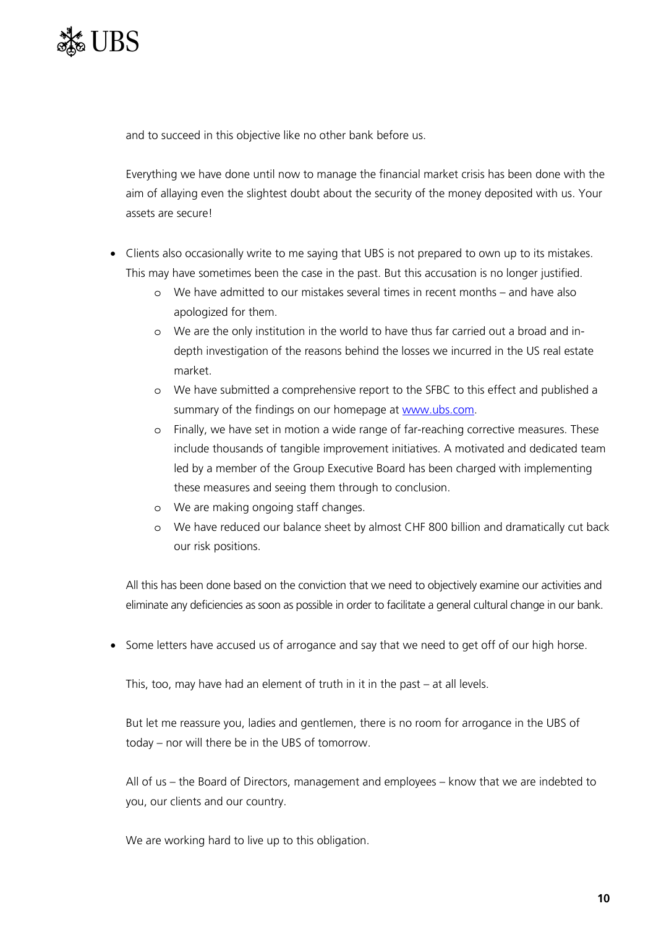

and to succeed in this objective like no other bank before us.

Everything we have done until now to manage the financial market crisis has been done with the aim of allaying even the slightest doubt about the security of the money deposited with us. Your assets are secure!

- Clients also occasionally write to me saying that UBS is not prepared to own up to its mistakes. This may have sometimes been the case in the past. But this accusation is no longer justified.
	- o We have admitted to our mistakes several times in recent months and have also apologized for them.
	- o We are the only institution in the world to have thus far carried out a broad and indepth investigation of the reasons behind the losses we incurred in the US real estate market.
	- o We have submitted a comprehensive report to the SFBC to this effect and published a summary of the findings on our homepage at [www.ubs.com](http://www.ubs.com/).
	- o Finally, we have set in motion a wide range of far-reaching corrective measures. These include thousands of tangible improvement initiatives. A motivated and dedicated team led by a member of the Group Executive Board has been charged with implementing these measures and seeing them through to conclusion.
	- o We are making ongoing staff changes.
	- o We have reduced our balance sheet by almost CHF 800 billion and dramatically cut back our risk positions.

All this has been done based on the conviction that we need to objectively examine our activities and eliminate any deficiencies as soon as possible in order to facilitate a general cultural change in our bank.

• Some letters have accused us of arrogance and say that we need to get off of our high horse.

This, too, may have had an element of truth in it in the past – at all levels.

But let me reassure you, ladies and gentlemen, there is no room for arrogance in the UBS of today – nor will there be in the UBS of tomorrow.

All of us – the Board of Directors, management and employees – know that we are indebted to you, our clients and our country.

We are working hard to live up to this obligation.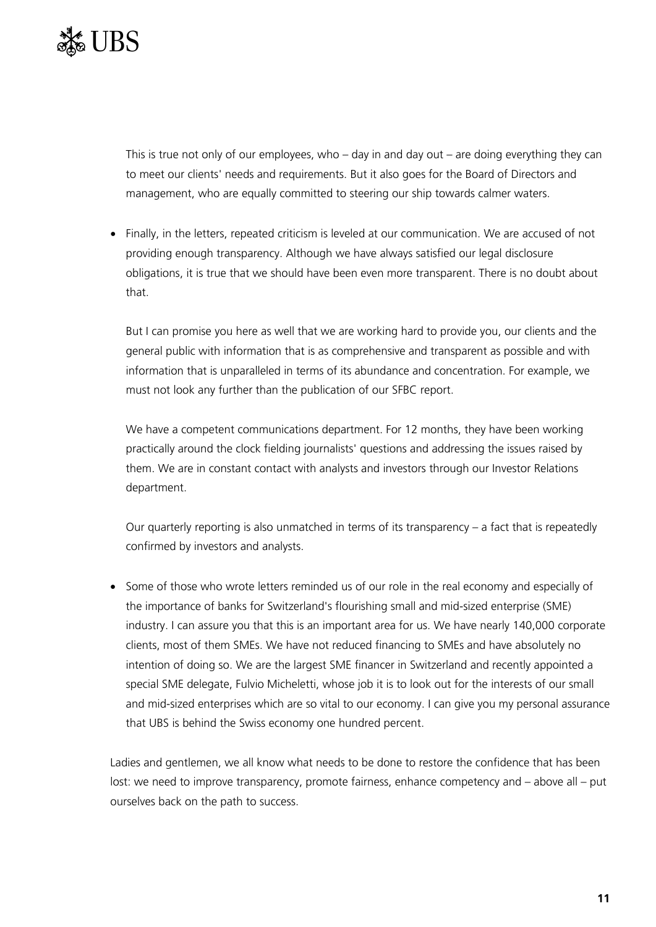

This is true not only of our employees, who  $-$  day in and day out  $-$  are doing everything they can to meet our clients' needs and requirements. But it also goes for the Board of Directors and management, who are equally committed to steering our ship towards calmer waters.

• Finally, in the letters, repeated criticism is leveled at our communication. We are accused of not providing enough transparency. Although we have always satisfied our legal disclosure obligations, it is true that we should have been even more transparent. There is no doubt about that.

But I can promise you here as well that we are working hard to provide you, our clients and the general public with information that is as comprehensive and transparent as possible and with information that is unparalleled in terms of its abundance and concentration. For example, we must not look any further than the publication of our SFBC report.

We have a competent communications department. For 12 months, they have been working practically around the clock fielding journalists' questions and addressing the issues raised by them. We are in constant contact with analysts and investors through our Investor Relations department.

Our quarterly reporting is also unmatched in terms of its transparency – a fact that is repeatedly confirmed by investors and analysts.

• Some of those who wrote letters reminded us of our role in the real economy and especially of the importance of banks for Switzerland's flourishing small and mid-sized enterprise (SME) industry. I can assure you that this is an important area for us. We have nearly 140,000 corporate clients, most of them SMEs. We have not reduced financing to SMEs and have absolutely no intention of doing so. We are the largest SME financer in Switzerland and recently appointed a special SME delegate, Fulvio Micheletti, whose job it is to look out for the interests of our small and mid-sized enterprises which are so vital to our economy. I can give you my personal assurance that UBS is behind the Swiss economy one hundred percent.

Ladies and gentlemen, we all know what needs to be done to restore the confidence that has been lost: we need to improve transparency, promote fairness, enhance competency and – above all – put ourselves back on the path to success.